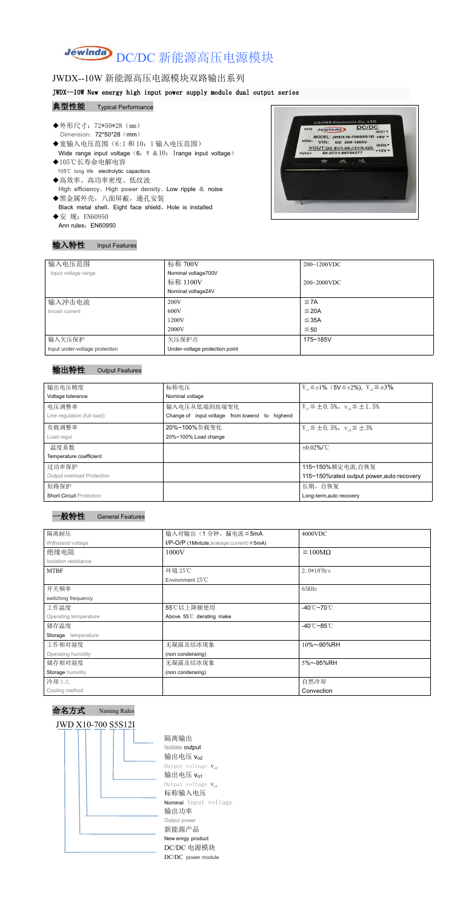# Jewinda DC/DC 新能源高压电源模块

## JWDX--10W 新能源高压电源模块双路输出系列

#### JWDX--10W New energy high input power supply module dual output series

#### 典型性能 Typical Performance

- ◆外形尺寸: 72\*50\*28 (mm) Dimension: 72\*50\*28 (mm) ◆宽输入电压范围(6:1 和 10: 1 输入电压范围)<br>Wide range input voltage (6: 1 & 10: 1 range input voltage) WOUT:DC 5V/1.0A;12V/0.42A GND2 · Wide range input voltage (6: 1 & 10: 1range input voltage)  $\left| \cdot \right|$ ◆105℃长寿命电解电容 105℃ long life electrolytic capacitors
- ◆高效率、高功率密度、低纹波 High efficiency、High power density、Low ripple & noise
- ◆黑金属外壳,八面屏蔽,通孔安装 Black metal shell, Eight face shield, Hole is installed ◆安 规: EN60950

Ann rules: EN60950



#### 输入特性 Input Features

| 输入电压范围                         | 标称 700V                        | $200~1200$ VDC   |
|--------------------------------|--------------------------------|------------------|
| Input voltage range            | Nominal voltage700V            |                  |
|                                | 标称 1100V                       | $200 - 2000$ VDC |
|                                | Nominal voltage24V             |                  |
| 输入冲击电流                         | 200V                           | $\leq$ 7A        |
| Inrush current                 | 600V                           | $\leq$ 20A       |
|                                | 1200V                          | $\leq$ 35A       |
|                                | 2000V                          | ≤ 50             |
| 输入欠压保护                         | 欠压保护点                          | 175~185V         |
| Input under-voltage protection | Under-voltage protection point |                  |

### 输出特性 Output Features







隔离输出 Isolate output 输出电压  $V_{02}$ Output voltage  $V_{o2}$ 输出电压 $V_{01}$ Output voltage  $V_{o1}$ 标称输入电压 Nominal Input voltage 输出功率 Output power 新能源产品 New enrgy product DC/DC 电源模块 DC/DC power module

| 输出电压精度                          | 标称电压                                           | $V_{01} \le \pm 1\%$ (5V $\le \pm 2\%$ ), $V_{02} \le \pm 3\%$ |
|---------------------------------|------------------------------------------------|----------------------------------------------------------------|
| Voltage tolerance               | Nominal voltage                                |                                                                |
| 电压调整率                           | 输入电压从低端到高端变化                                   | $V_{01} \leq \pm 0.5\%$ , $V_{02} \leq \pm 1.5\%$              |
| Line regulation (full load)     | Change of input voltage from lowend to highend |                                                                |
| 负载调整率                           | 20%~100%负载变化                                   | $V_{01} \leq \pm 0.5\%$ , $V_{02} \leq \pm 3\%$                |
| Load regul                      | 20%~100% Load change                           |                                                                |
| 温度系数                            |                                                | $±0.02\%$ /°C                                                  |
| Temperature coefficient         |                                                |                                                                |
| 过功率保护                           |                                                | 115~150%额定电流,自恢复                                               |
| Output overload Protection      |                                                | 115~150% rated output power, auto recovery                     |
| 短路保护                            |                                                | 长期, 自恢复                                                        |
| <b>Short Circuit Protection</b> |                                                | Long-term, auto recovery                                       |
|                                 |                                                |                                                                |

| 隔离耐压                  | 输入对输出(1分钟,漏电流≦5mA                                  | 4000VDC                                 |
|-----------------------|----------------------------------------------------|-----------------------------------------|
| Withstand voltage     | $I/P$ -O/P (1Mintute, leakage current) $\leq$ 5mA) |                                         |
| 绝缘电阻                  | 1000V                                              | $\geq 100M\Omega$                       |
| Isolation resistance  |                                                    |                                         |
| <b>MTBF</b>           | 环境 25℃                                             | 2.0 $*10^5$ Hrs                         |
|                       | Environment $25^{\circ}$ C                         |                                         |
| 开关频率                  |                                                    | 65KHz                                   |
| switching frequency   |                                                    |                                         |
| 工作温度                  | 55℃以上降额使用                                          | -40 $^{\circ}$ C $\sim$ 70 $^{\circ}$ C |
| Operating temperature | Above 55°C derating make                           |                                         |
| 储存温度                  |                                                    | -40 $^{\circ}$ C ~85 $^{\circ}$ C       |
| Storage temperature   |                                                    |                                         |
| 工作相对湿度                | 无凝露及结冰现象                                           | 10%~-90%RH                              |
| Operating humidity    | (non condensing)                                   |                                         |
| 储存相对湿度                | 无凝露及结冰现象                                           | 5%~-95%RH                               |
| Storage humidity      | (non condensing)                                   |                                         |
| 冷却方式                  |                                                    | 自然冷却                                    |
| Cooling method        |                                                    | Convection                              |